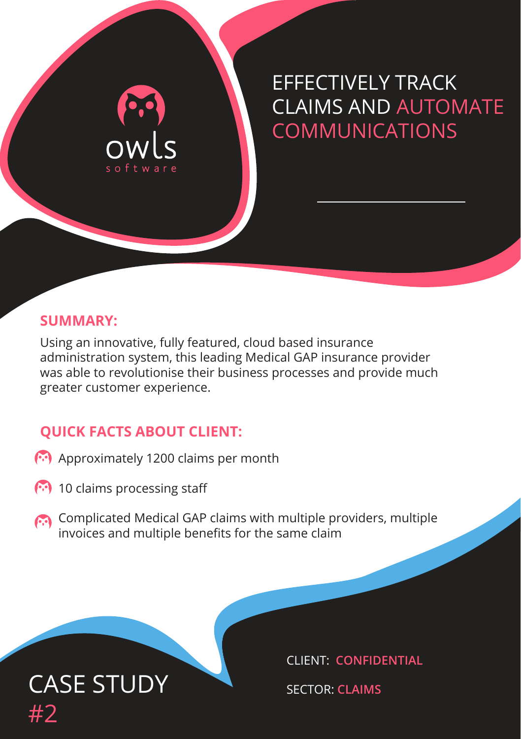## EFFECTIVELY TRACK CLAIMS AND AUTOMATE **COMMUNICATIONS**

#### **SUMMARY:**

Using an innovative, fully featured, cloud based insurance administration system, this leading Medical GAP insurance provider was able to revolutionise their business processes and provide much greater customer experience.

#### **QUICK FACTS ABOUT CLIENT:**

owls

- Approximately 1200 claims per month
- **(\*\*)** 10 claims processing staff
- Complicated Medical GAP claims with multiple providers, multiple invoices and multiple benefits for the same claim

## CASE STUDY SECTOR: CLAIMS #2

CLIENT: **CONFIDENTIAL**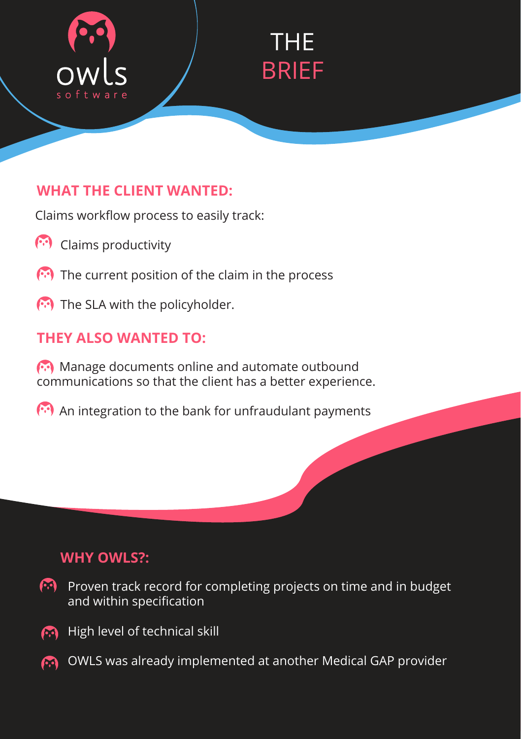

# THE BRIEF

#### **WHAT THE CLIENT WANTED:**

Claims workflow process to easily track:

- **Claims productivity**
- $\left(\cdot\right)$  The current position of the claim in the process
- The SLA with the policyholder.

## **THEY ALSO WANTED TO:**

 Manage documents online and automate outbound communications so that the client has a better experience.

**An integration to the bank for unfraudulant payments** 

## **WHY OWLS?:**

- 69 I Proven track record for completing projects on time and in budget and within specification
- **B** High level of technical skill
- **COULS** was already implemented at another Medical GAP provider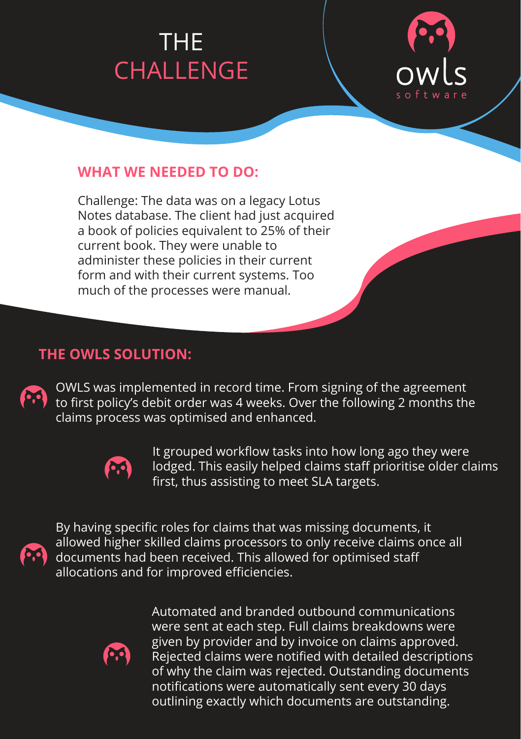## CHALLENGE CHALLENGE THE THE CHALLENGE CHALLENGE



#### **WHAT WE NEEDED TO DO:**

Challenge: The data was on a legacy Lotus Notes database. The client had just acquired a book of policies equivalent to 25% of their current book. They were unable to administer these policies in their current form and with their current systems. Too much of the processes were manual.

#### **THE OWLS SOLUTION:**

OWLS was implemented in record time. From signing of the agreement to first policy's debit order was 4 weeks. Over the following 2 months the claims process was optimised and enhanced.



It grouped workflow tasks into how long ago they were lodged. This easily helped claims staff prioritise older claims first, thus assisting to meet SLA targets.



By having specific roles for claims that was missing documents, it allowed higher skilled claims processors to only receive claims once all documents had been received. This allowed for optimised staff allocations and for improved efficiencies.



Automated and branded outbound communications were sent at each step. Full claims breakdowns were given by provider and by invoice on claims approved. Rejected claims were notified with detailed descriptions of why the claim was rejected. Outstanding documents notifications were automatically sent every 30 days outlining exactly which documents are outstanding.